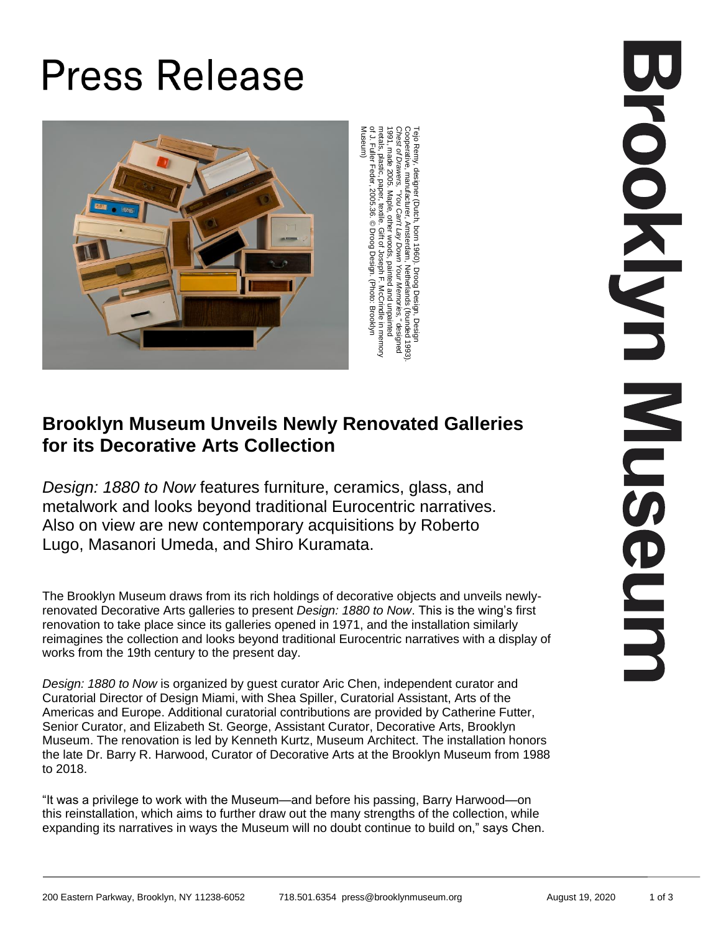# **Press Release**



metals, plastic, paper, textile. Gift of Joseph F. McCrindle in memory of J. Fuller Feder, 2005.36. © Droog Design. (Photo: Brooklyn Museum)

## **Brooklyn Museum Unveils Newly Renovated Galleries for its Decorative Arts Collection**

*Design: 1880 to Now* features furniture, ceramics, glass, and metalwork and looks beyond traditional Eurocentric narratives. Also on view are new contemporary acquisitions by Roberto Lugo, Masanori Umeda, and Shiro Kuramata.

The Brooklyn Museum draws from its rich holdings of decorative objects and unveils newlyrenovated Decorative Arts galleries to present *Design: 1880 to Now*. This is the wing's first renovation to take place since its galleries opened in 1971, and the installation similarly reimagines the collection and looks beyond traditional Eurocentric narratives with a display of works from the 19th century to the present day.

*Design: 1880 to Now* is organized by guest curator Aric Chen, independent curator and Curatorial Director of Design Miami, with Shea Spiller, Curatorial Assistant, Arts of the Americas and Europe. Additional curatorial contributions are provided by Catherine Futter, Senior Curator, and Elizabeth St. George, Assistant Curator, Decorative Arts, Brooklyn Museum. The renovation is led by Kenneth Kurtz, Museum Architect. The installation honors the late Dr. Barry R. Harwood, Curator of Decorative Arts at the Brooklyn Museum from 1988 to 2018.

"It was a privilege to work with the Museum—and before his passing, Barry Harwood—on this reinstallation, which aims to further draw out the many strengths of the collection, while expanding its narratives in ways the Museum will no doubt continue to build on," says Chen.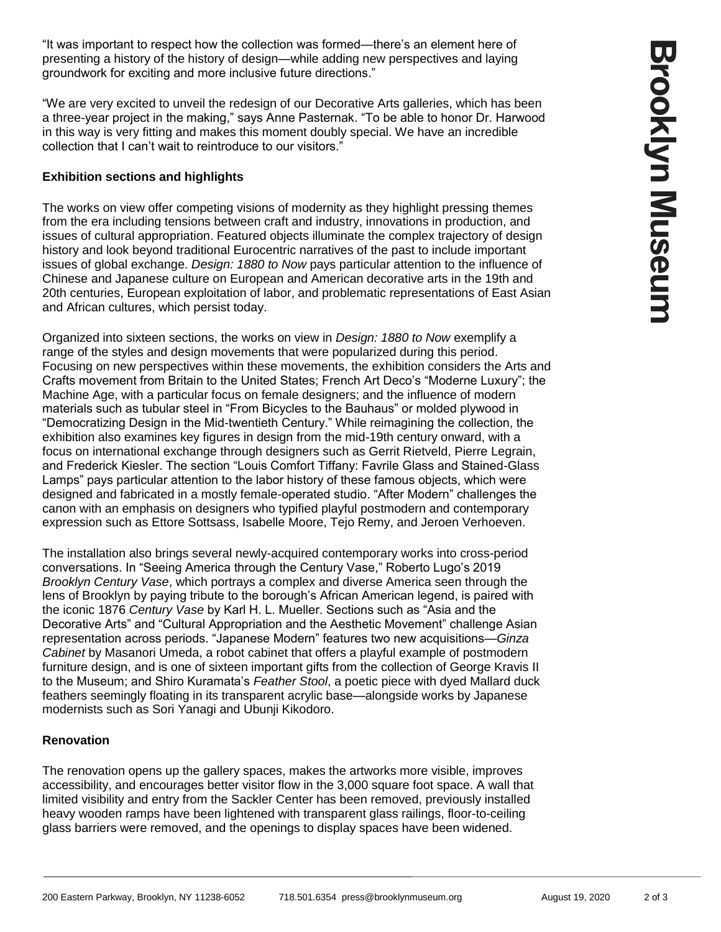"It was important to respect how the collection was formed—there's an element here of presenting a history of the history of design—while adding new perspectives and laying groundwork for exciting and more inclusive future directions."

"We are very excited to unveil the redesign of our Decorative Arts galleries, which has been a three-year project in the making," says Anne Pasternak. "To be able to honor Dr. Harwood in this way is very fitting and makes this moment doubly special. We have an incredible collection that I can't wait to reintroduce to our visitors."

#### **Exhibition sections and highlights**

The works on view offer competing visions of modernity as they highlight pressing themes from the era including tensions between craft and industry, innovations in production, and issues of cultural appropriation. Featured objects illuminate the complex trajectory of design history and look beyond traditional Eurocentric narratives of the past to include important issues of global exchange. *Design: 1880 to Now* pays particular attention to the influence of Chinese and Japanese culture on European and American decorative arts in the 19th and 20th centuries, European exploitation of labor, and problematic representations of East Asian and African cultures, which persist today.

Organized into sixteen sections, the works on view in *Design: 1880 to Now* exemplify a range of the styles and design movements that were popularized during this period. Focusing on new perspectives within these movements, the exhibition considers the Arts and Crafts movement from Britain to the United States; French Art Deco's "Moderne Luxury"; the Machine Age, with a particular focus on female designers; and the influence of modern materials such as tubular steel in "From Bicycles to the Bauhaus" or molded plywood in "Democratizing Design in the Mid-twentieth Century." While reimagining the collection, the exhibition also examines key figures in design from the mid-19th century onward, with a focus on international exchange through designers such as Gerrit Rietveld, Pierre Legrain, and Frederick Kiesler. The section "Louis Comfort Tiffany: Favrile Glass and Stained-Glass Lamps" pays particular attention to the labor history of these famous objects, which were designed and fabricated in a mostly female-operated studio. "After Modern" challenges the canon with an emphasis on designers who typified playful postmodern and contemporary expression such as Ettore Sottsass, Isabelle Moore, Tejo Remy, and Jeroen Verhoeven.

The installation also brings several newly-acquired contemporary works into cross-period conversations. In "Seeing America through the Century Vase," Roberto Lugo's 2019 *Brooklyn Century Vase*, which portrays a complex and diverse America seen through the lens of Brooklyn by paying tribute to the borough's African American legend, is paired with the iconic 1876 *Century Vase* by Karl H. L. Mueller. Sections such as "Asia and the Decorative Arts" and "Cultural Appropriation and the Aesthetic Movement" challenge Asian representation across periods. "Japanese Modern" features two new acquisitions—*Ginza Cabinet* by Masanori Umeda, a robot cabinet that offers a playful example of postmodern furniture design, and is one of sixteen important gifts from the collection of George Kravis II to the Museum; and Shiro Kuramata's *Feather Stool*, a poetic piece with dyed Mallard duck feathers seemingly floating in its transparent acrylic base—alongside works by Japanese modernists such as Sori Yanagi and Ubunji Kikodoro.

### **Renovation**

The renovation opens up the gallery spaces, makes the artworks more visible, improves accessibility, and encourages better visitor flow in the 3,000 square foot space. A wall that limited visibility and entry from the Sackler Center has been removed, previously installed heavy wooden ramps have been lightened with transparent glass railings, floor-to-ceiling glass barriers were removed, and the openings to display spaces have been widened.